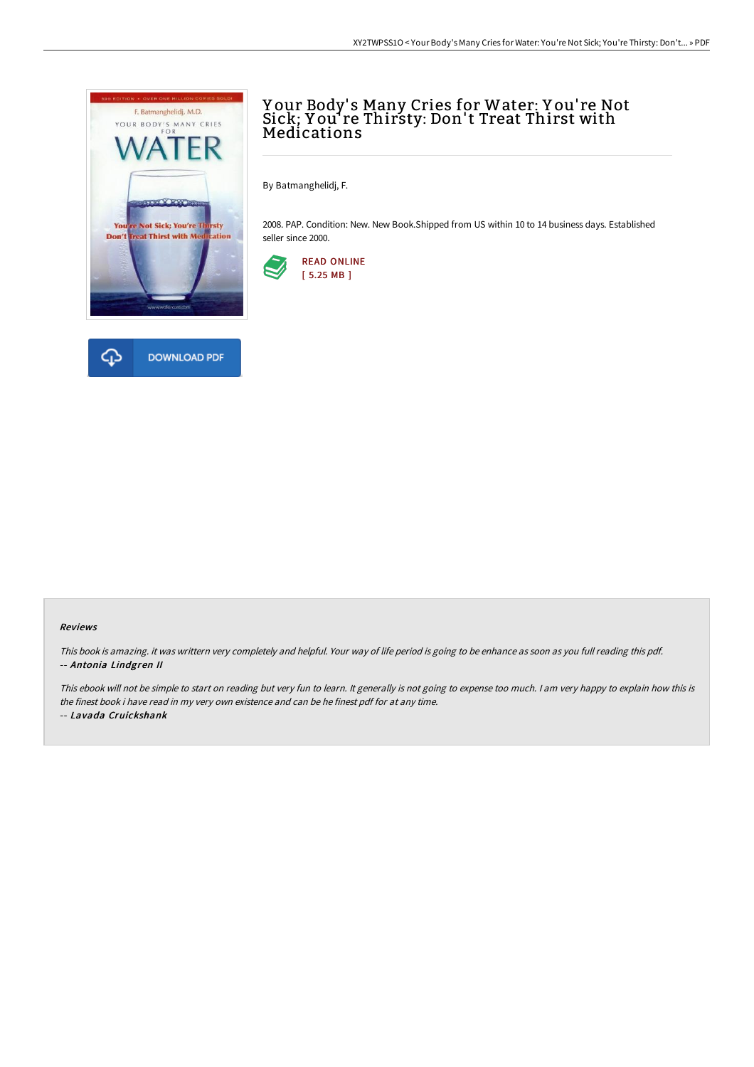

# Y our Body' s Many Cries for Water: Y ou' re Not Sick; Y ou' re Thirsty: Don't Treat Thirst with Medications

By Batmanghelidj, F.

2008. PAP. Condition: New. New Book.Shipped from US within 10 to 14 business days. Established seller since 2000.



#### Reviews

This book is amazing. it was writtern very completely and helpful. Your way of life period is going to be enhance as soon as you full reading this pdf. -- Antonia Lindgren II

This ebook will not be simple to start on reading but very fun to learn. It generally is not going to expense too much. <sup>I</sup> am very happy to explain how this is the finest book i have read in my very own existence and can be he finest pdf for at any time.

-- Lavada Cruickshank